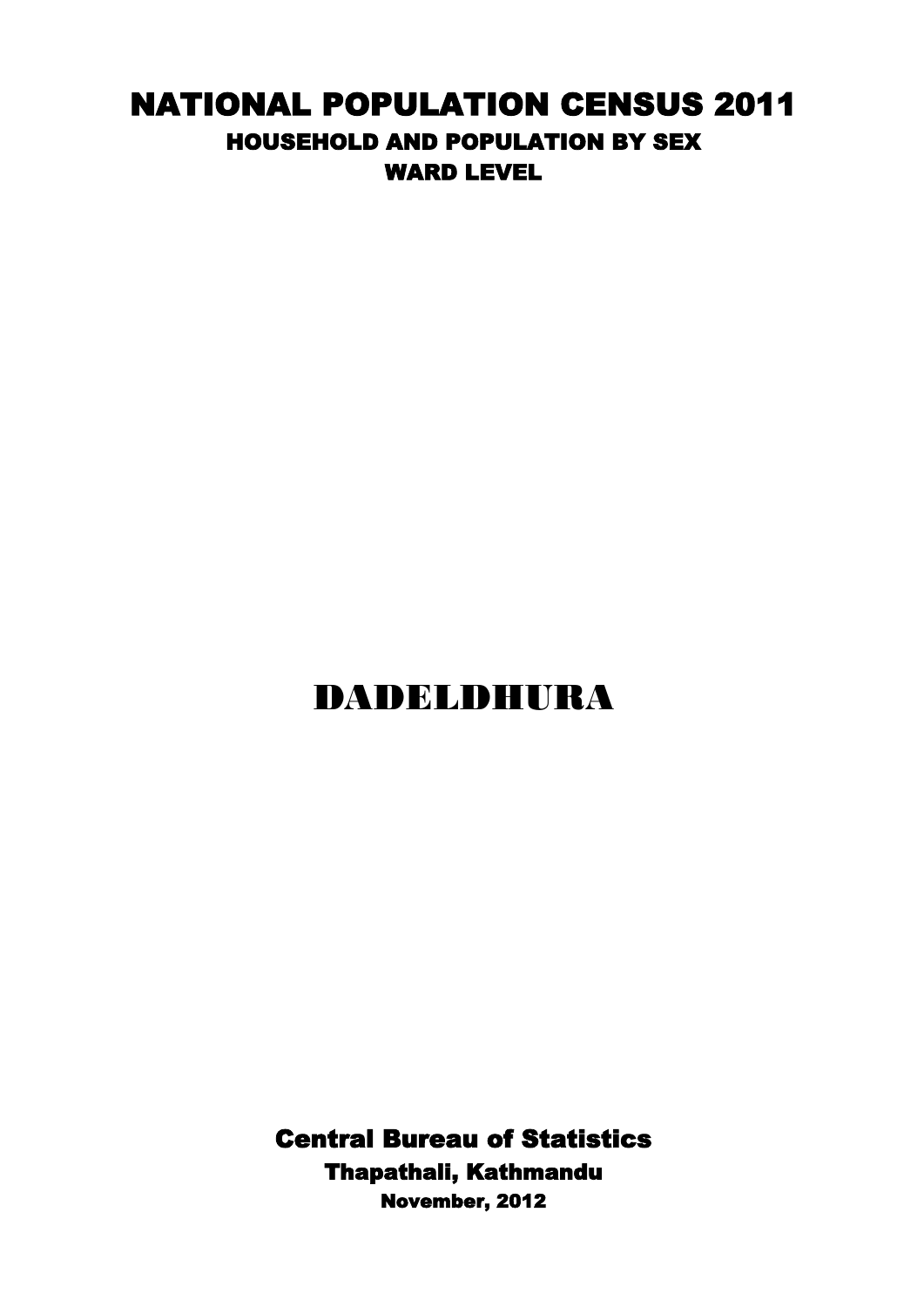## NATIONAL POPULATION CENSUS 2011 HOUSEHOLD AND POPULATION BY SEX WARD LEVEL

## DADELDHURA

Central Bureau of Statistics Thapathali, Kathmandu November, 2012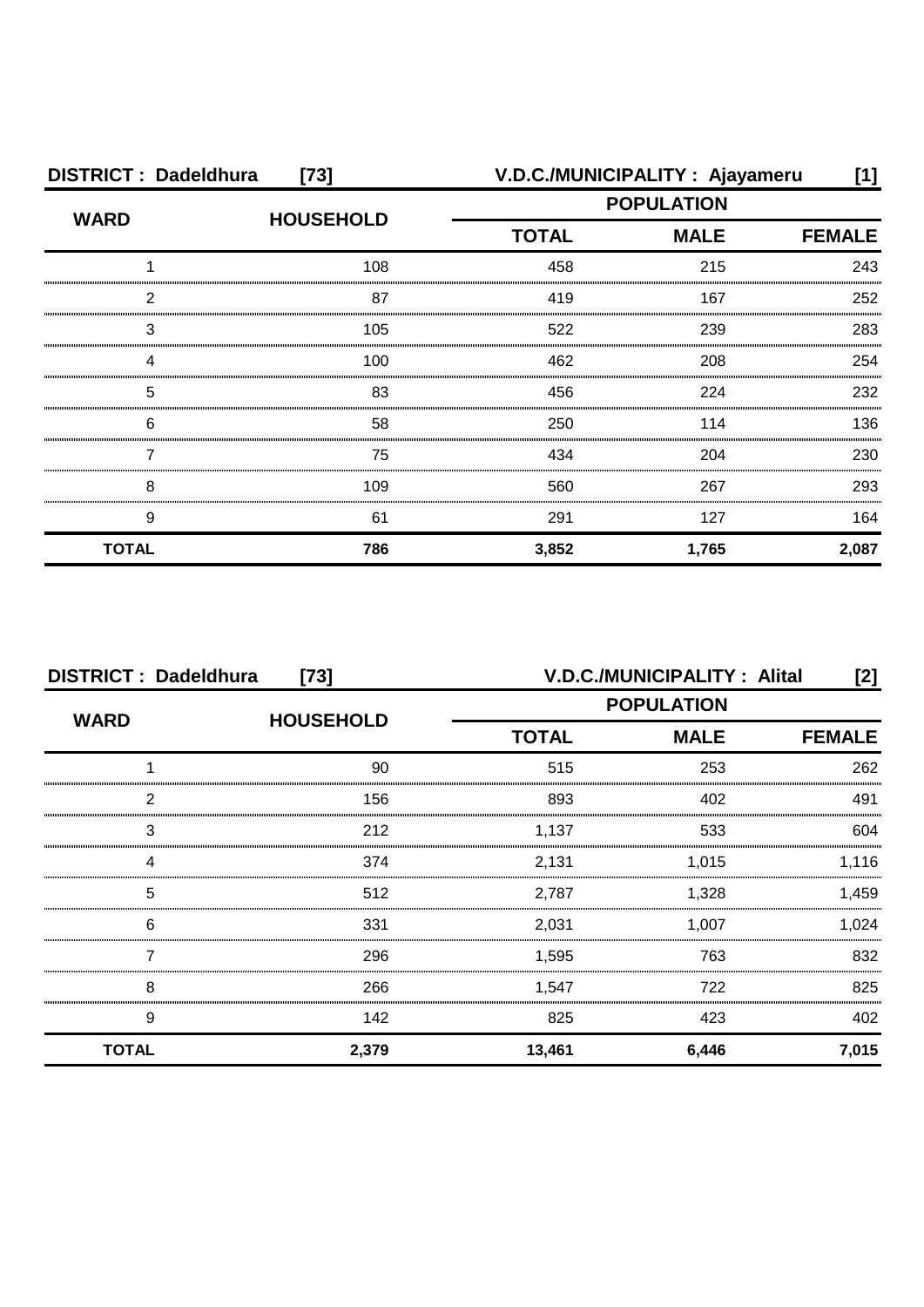| <b>DISTRICT: Dadeldhura</b><br>$[73]$ |                  |                             | V.D.C./MUNICIPALITY: Ajayameru | [1]   |
|---------------------------------------|------------------|-----------------------------|--------------------------------|-------|
| <b>WARD</b>                           | <b>HOUSEHOLD</b> | <b>POPULATION</b>           |                                |       |
|                                       |                  | <b>MALE</b><br><b>TOTAL</b> | <b>FEMALE</b>                  |       |
|                                       | 108              | 458                         | 215                            | 243   |
| 2                                     | 87               | 419                         | 167                            | 252   |
| З                                     | 105              | 522                         | 239                            | 283   |
| Δ                                     | 100              | 462                         | 208                            | 254   |
| 5                                     | 83               | 456                         | 224                            | 232   |
| 6                                     | 58               | 250                         | 114                            | 136   |
|                                       | 75               | 434                         | 204                            | 230   |
| 8                                     | 109              | 560                         | 267                            | 293   |
| 9                                     | 61               | 291                         | 127                            | 164   |
| <b>TOTAL</b>                          | 786              | 3,852                       | 1,765                          | 2,087 |

| <b>DISTRICT: Dadeldhura</b><br>$[73]$ |                  |                             | <b>V.D.C./MUNICIPALITY: Alital</b> | [2]   |
|---------------------------------------|------------------|-----------------------------|------------------------------------|-------|
| <b>WARD</b>                           |                  | <b>POPULATION</b>           |                                    |       |
|                                       | <b>HOUSEHOLD</b> | <b>TOTAL</b><br><b>MALE</b> | <b>FEMALE</b>                      |       |
|                                       | 90               | 515                         | 253                                | 262   |
| っ                                     | 156              | 893                         | 402                                | 491   |
| 3                                     | 212              | 1,137                       | 533                                | 604   |
|                                       | 374              | 2,131                       | 1,015                              | 1,116 |
| 5                                     | 512              | 2,787                       | 1,328                              | 1,459 |
| 6                                     | 331              | 2,031                       | 1,007                              | 1,024 |
|                                       | 296              | 1,595                       | 763                                | 832   |
| 8                                     | 266              | 1,547                       | 722                                | 825   |
| 9                                     | 142              | 825                         | 423                                | 402   |
| <b>TOTAL</b>                          | 2,379            | 13,461                      | 6,446                              | 7,015 |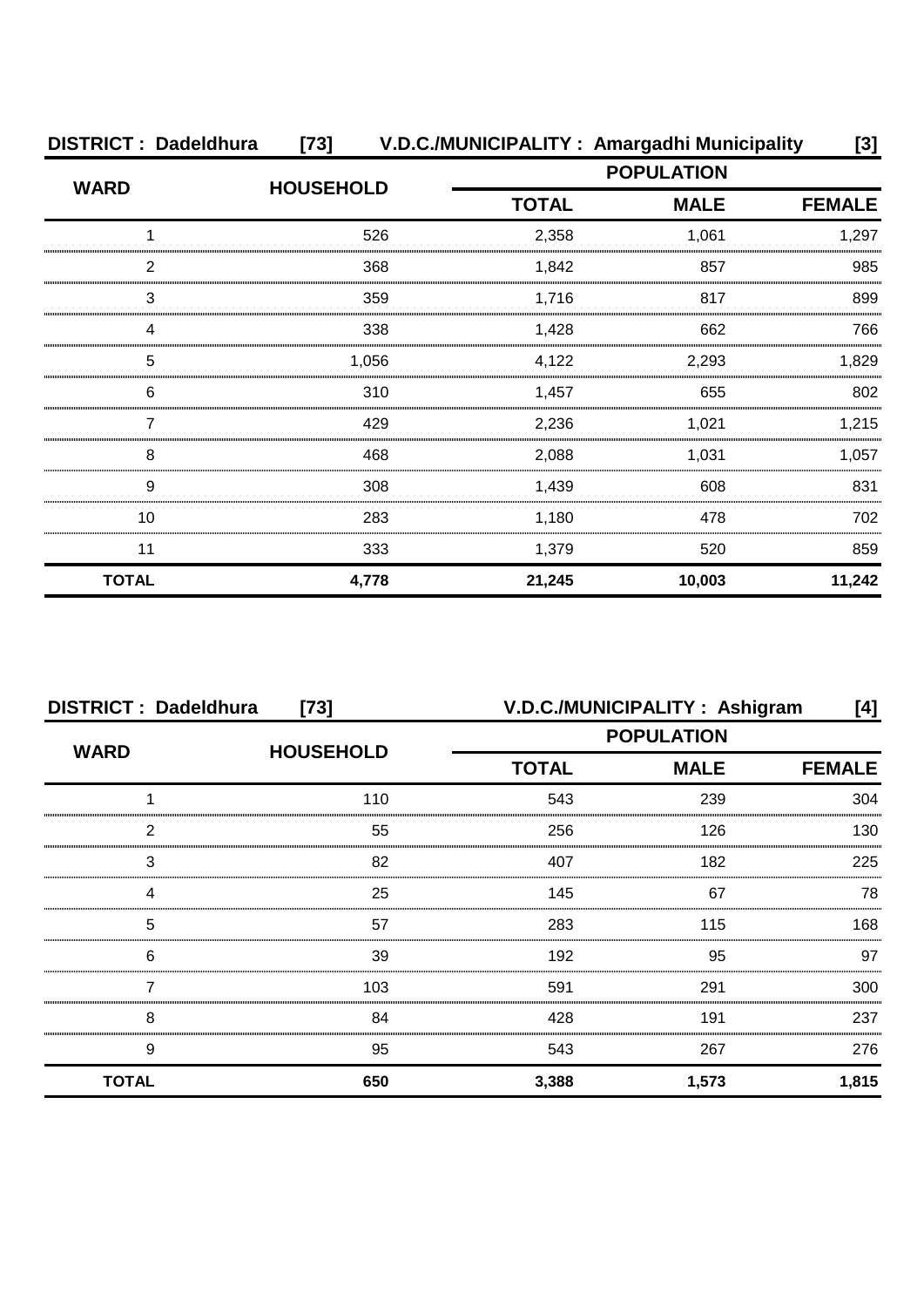| <b>DISTRICT: Dadeldhura</b><br>[73] V.D.C./MUNICIPALITY: Amargadhi Municipality<br>[3] |                  |              |                   |               |
|----------------------------------------------------------------------------------------|------------------|--------------|-------------------|---------------|
| <b>WARD</b>                                                                            | <b>HOUSEHOLD</b> |              | <b>POPULATION</b> |               |
|                                                                                        |                  | <b>TOTAL</b> | <b>MALE</b>       | <b>FEMALE</b> |
|                                                                                        | 526              | 2,358        | 1,061             | 1,297         |
| 2                                                                                      | 368              | 1,842        | 857               | 985           |
| 3                                                                                      | 359              | 1,716        | 817               | 899           |
|                                                                                        | 338              | 1,428        | 662               | 766           |
| 5                                                                                      | 1,056            | 4,122        | 2,293             | 1,829         |
| 6                                                                                      | 310              | 1,457        | 655               | 802           |
|                                                                                        | 429              | 2,236        | 1,021             | 1,215         |
| 8                                                                                      | 468              | 2,088        | 1,031             | 1,057         |
| 9                                                                                      | 308              | 1,439        | 608               | 831           |
| 10                                                                                     | 283              | 1,180        | 478               | 702           |
| 11                                                                                     | 333              | 1,379        | 520               | 859           |
| <b>TOTAL</b>                                                                           | 4,778            | 21,245       | 10,003            | 11,242        |

| <b>DISTRICT: Dadeldhura</b><br>$[73]$ |                  |                   | V.D.C./MUNICIPALITY: Ashigram | [4]           |
|---------------------------------------|------------------|-------------------|-------------------------------|---------------|
| <b>WARD</b>                           | <b>HOUSEHOLD</b> | <b>POPULATION</b> |                               |               |
|                                       |                  | <b>TOTAL</b>      | <b>MALE</b>                   | <b>FEMALE</b> |
|                                       | 110              | 543               | 239                           | 304           |
| 2                                     | 55               | 256               | 126                           | 130           |
| 3                                     | 82               | 407               | 182                           | 225           |
|                                       | 25               | 145               | 67                            | 78            |
| 5                                     | 57               | 283               | 115                           | 168           |
| 6                                     | 39               | 192               | 95                            | 97            |
|                                       | 103              | 591               | 291                           | 300           |
| 8                                     | 84               | 428               | 191                           | 237           |
| 9                                     | 95               | 543               | 267                           | 276           |
| <b>TOTAL</b>                          | 650              | 3,388             | 1,573                         | 1,815         |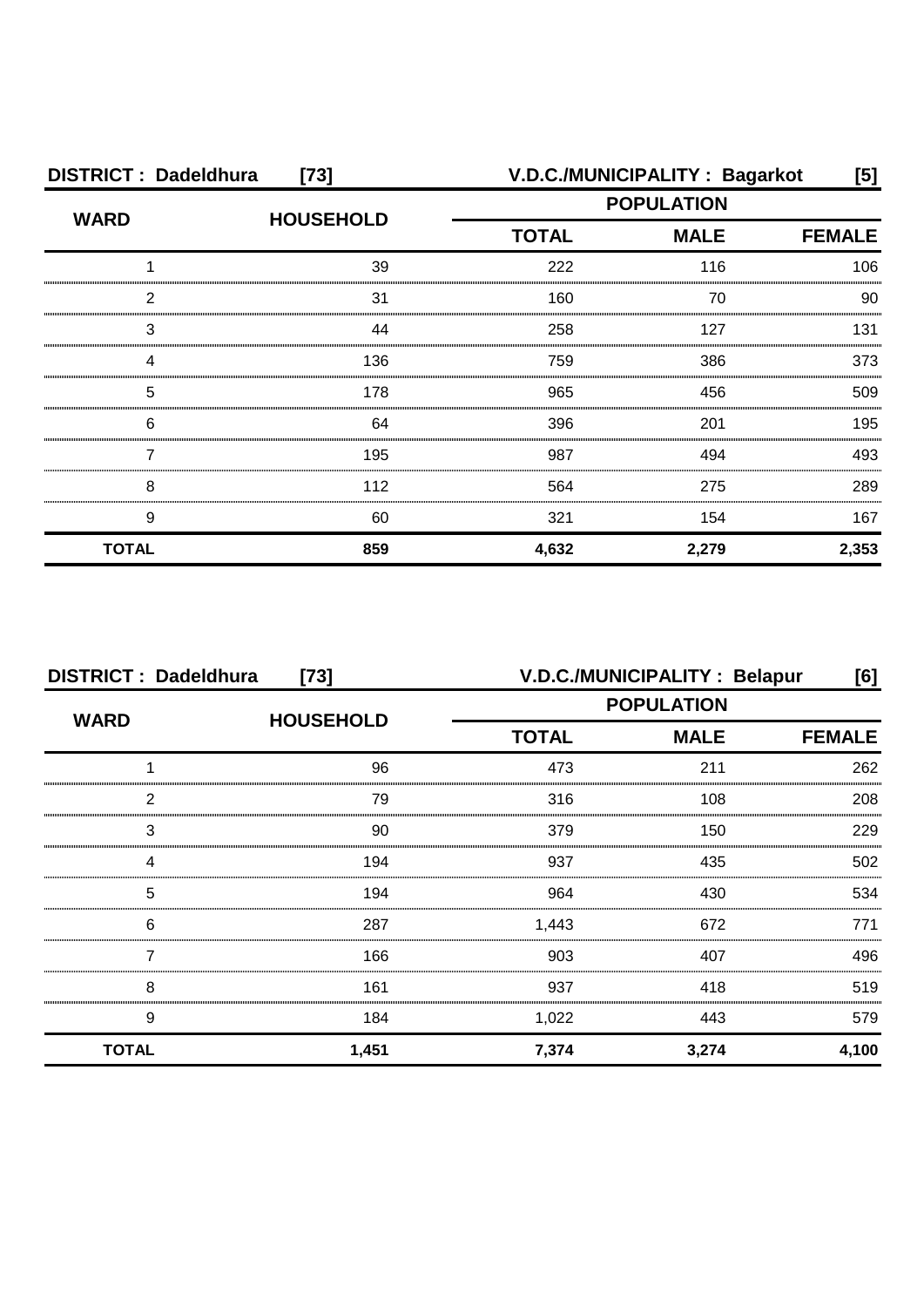| <b>DISTRICT: Dadeldhura</b><br>$[73]$ |                  |                   | V.D.C./MUNICIPALITY: Bagarkot | [5]           |
|---------------------------------------|------------------|-------------------|-------------------------------|---------------|
| <b>WARD</b>                           | <b>HOUSEHOLD</b> | <b>POPULATION</b> |                               |               |
|                                       |                  | <b>TOTAL</b>      | <b>MALE</b>                   | <b>FEMALE</b> |
|                                       | 39               | 222               | 116                           | 106           |
| 2                                     | 31               | 160               | 70                            | 90            |
| 3                                     | 44               | 258               | 127                           | 131           |
|                                       | 136              | 759               | 386                           | 373           |
| 5                                     | 178              | 965               | 456                           | 509           |
| 6                                     | 64               | 396               | 201                           | 195           |
|                                       | 195              | 987               | 494                           | 493           |
| 8                                     | 112              | 564               | 275                           | 289           |
| 9                                     | 60               | 321               | 154                           | 167           |
| <b>TOTAL</b>                          | 859              | 4,632             | 2,279                         | 2,353         |

| <b>DISTRICT: Dadeldhura</b><br>$[73]$ |                  | V.D.C./MUNICIPALITY : Belapur<br>[6] |             |               |
|---------------------------------------|------------------|--------------------------------------|-------------|---------------|
| <b>WARD</b>                           | <b>HOUSEHOLD</b> | <b>POPULATION</b>                    |             |               |
|                                       |                  | <b>TOTAL</b>                         | <b>MALE</b> | <b>FEMALE</b> |
|                                       | 96               | 473                                  | 211         | 262           |
| 2                                     | 79               | 316                                  | 108         | 208           |
| 3                                     | 90               | 379                                  | 150         | 229           |
| Δ                                     | 194              | 937                                  | 435         | 502           |
| 5                                     | 194              | 964                                  | 430         | 534           |
| 6                                     | 287              | 1,443                                | 672         | 771           |
|                                       | 166              | 903                                  | 407         | 496           |
| 8                                     | 161              | 937                                  | 418         | 519           |
| 9                                     | 184              | 1,022                                | 443         | 579           |
| <b>TOTAL</b>                          | 1,451            | 7,374                                | 3,274       | 4,100         |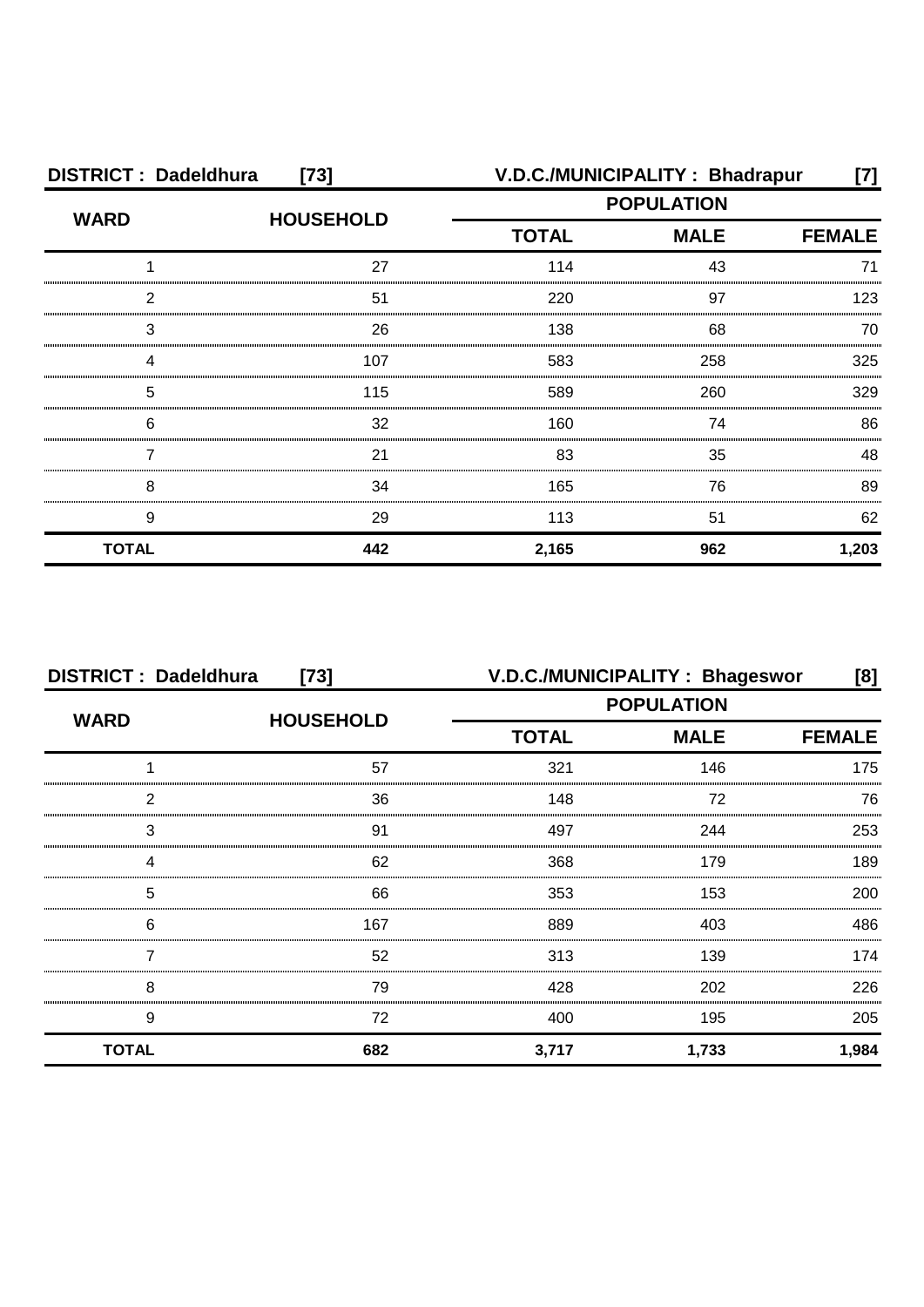| <b>DISTRICT: Dadeldhura</b><br>$[73]$ |                  |                   | V.D.C./MUNICIPALITY: Bhadrapur | [7]           |
|---------------------------------------|------------------|-------------------|--------------------------------|---------------|
| <b>WARD</b>                           | <b>HOUSEHOLD</b> | <b>POPULATION</b> |                                |               |
|                                       |                  | <b>TOTAL</b>      | <b>MALE</b>                    | <b>FEMALE</b> |
|                                       | 27               | 114               | 43                             | 71            |
| 2                                     | 51               | 220               | 97                             | 123           |
| 3                                     | 26               | 138               | 68                             | 70            |
|                                       | 107              | 583               | 258                            | 325           |
| 5                                     | 115              | 589               | 260                            | 329           |
| 6                                     | 32               | 160               | 74                             | 86            |
|                                       | 21               | 83                | 35                             | 48            |
| 8                                     | 34               | 165               | 76                             | 89            |
| 9                                     | 29               | 113               | 51                             | 62            |
| <b>TOTAL</b>                          | 442              | 2,165             | 962                            | 1,203         |

| <b>DISTRICT: Dadeldhura</b><br>$[73]$ |                  |                   | V.D.C./MUNICIPALITY: Bhageswor | [8]           |
|---------------------------------------|------------------|-------------------|--------------------------------|---------------|
| <b>WARD</b>                           | <b>HOUSEHOLD</b> | <b>POPULATION</b> |                                |               |
|                                       |                  | <b>TOTAL</b>      | <b>MALE</b>                    | <b>FEMALE</b> |
|                                       | 57               | 321               | 146                            | 175           |
| 2                                     | 36               | 148               | 72                             | 76            |
| 3                                     | 91               | 497               | 244                            | 253           |
| Δ                                     | 62               | 368               | 179                            | 189           |
| 5                                     | 66               | 353               | 153                            | 200           |
| 6                                     | 167              | 889               | 403                            | 486           |
|                                       | 52               | 313               | 139                            | 174           |
| 8                                     | 79               | 428               | 202                            | 226           |
| 9                                     | 72               | 400               | 195                            | 205           |
| <b>TOTAL</b>                          | 682              | 3,717             | 1,733                          | 1,984         |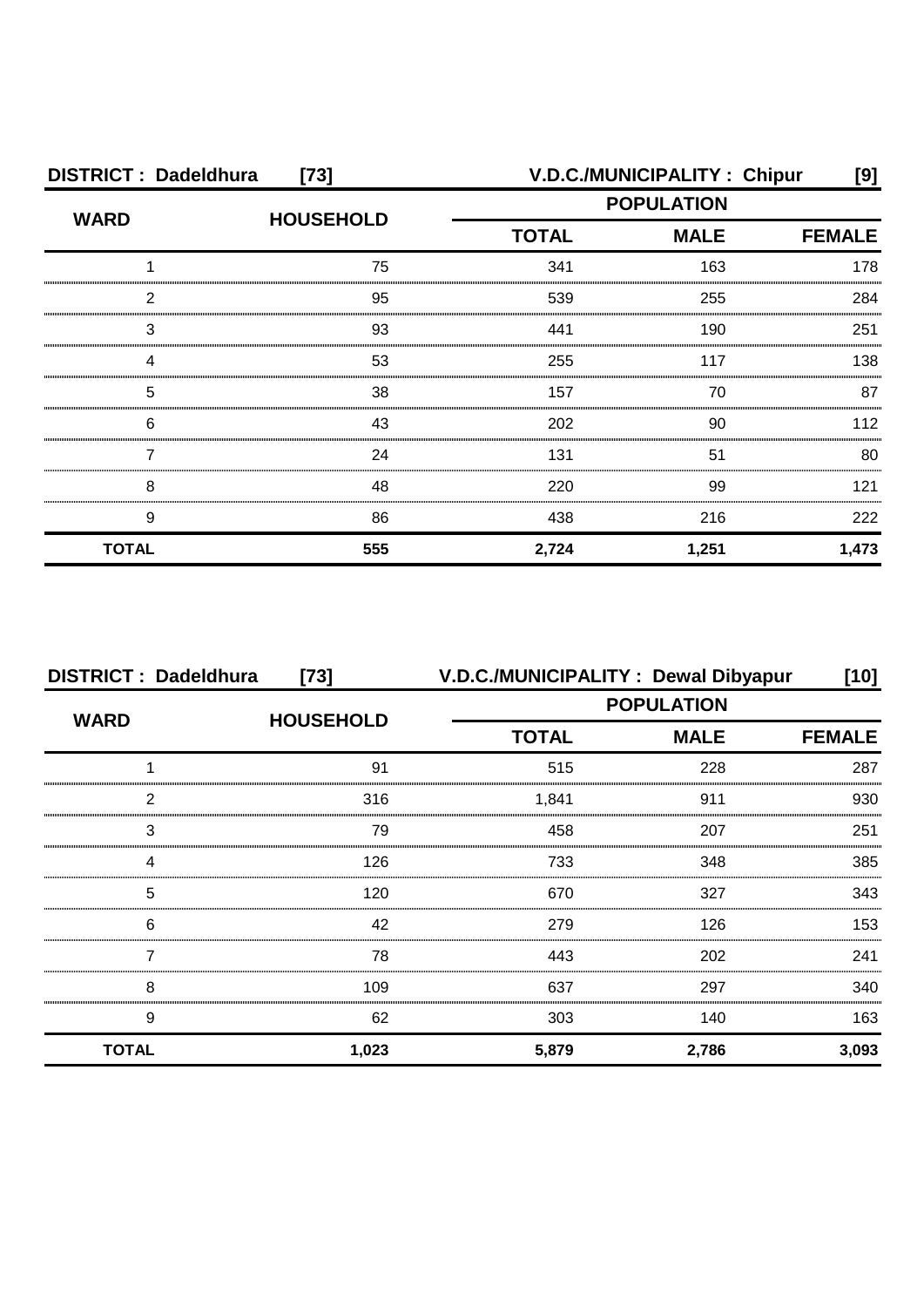| <b>DISTRICT: Dadeldhura</b><br>$[73]$ |                  |                   | V.D.C./MUNICIPALITY: Chipur | [9]           |
|---------------------------------------|------------------|-------------------|-----------------------------|---------------|
| <b>WARD</b>                           | <b>HOUSEHOLD</b> | <b>POPULATION</b> |                             |               |
|                                       |                  | <b>TOTAL</b>      | <b>MALE</b>                 | <b>FEMALE</b> |
|                                       | 75               | 341               | 163                         | 178           |
| 2                                     | 95               | 539               | 255                         | 284           |
| 3                                     | 93               | 441               | 190                         | 251           |
|                                       | 53               | 255               | 117                         | 138           |
| 5                                     | 38               | 157               | 70                          | 87            |
| 6                                     | 43               | 202               | 90                          | 112           |
|                                       | 24               | 131               | 51                          | 80            |
| 8                                     | 48               | 220               | 99                          | 121           |
| 9                                     | 86               | 438               | 216                         | 222           |
| <b>TOTAL</b>                          | 555              | 2,724             | 1,251                       | 1,473         |

| <b>DISTRICT: Dadeldhura</b> | $[73]$           |              | V.D.C./MUNICIPALITY: Dewal Dibyapur | [10]          |
|-----------------------------|------------------|--------------|-------------------------------------|---------------|
|                             |                  |              | <b>POPULATION</b>                   |               |
| <b>WARD</b>                 | <b>HOUSEHOLD</b> | <b>TOTAL</b> | <b>MALE</b>                         | <b>FEMALE</b> |
|                             | 91               | 515          | 228                                 | 287           |
| っ                           | 316              | 1.841        | 911                                 | 930           |
| 3                           | 79               | 458          | 207                                 | 251           |
|                             | 126              | 733          | 348                                 | 385           |
| 5                           | 120              | 670          | 327                                 | 343           |
| 6                           | 42               | 279          | 126                                 | 153           |
|                             | 78               | 443          | 202                                 | 241           |
| 8                           | 109              | 637          | 297                                 | 340           |
| 9                           | 62               | 303          | 140                                 | 163           |
| <b>TOTAL</b>                | 1,023            | 5,879        | 2,786                               | 3,093         |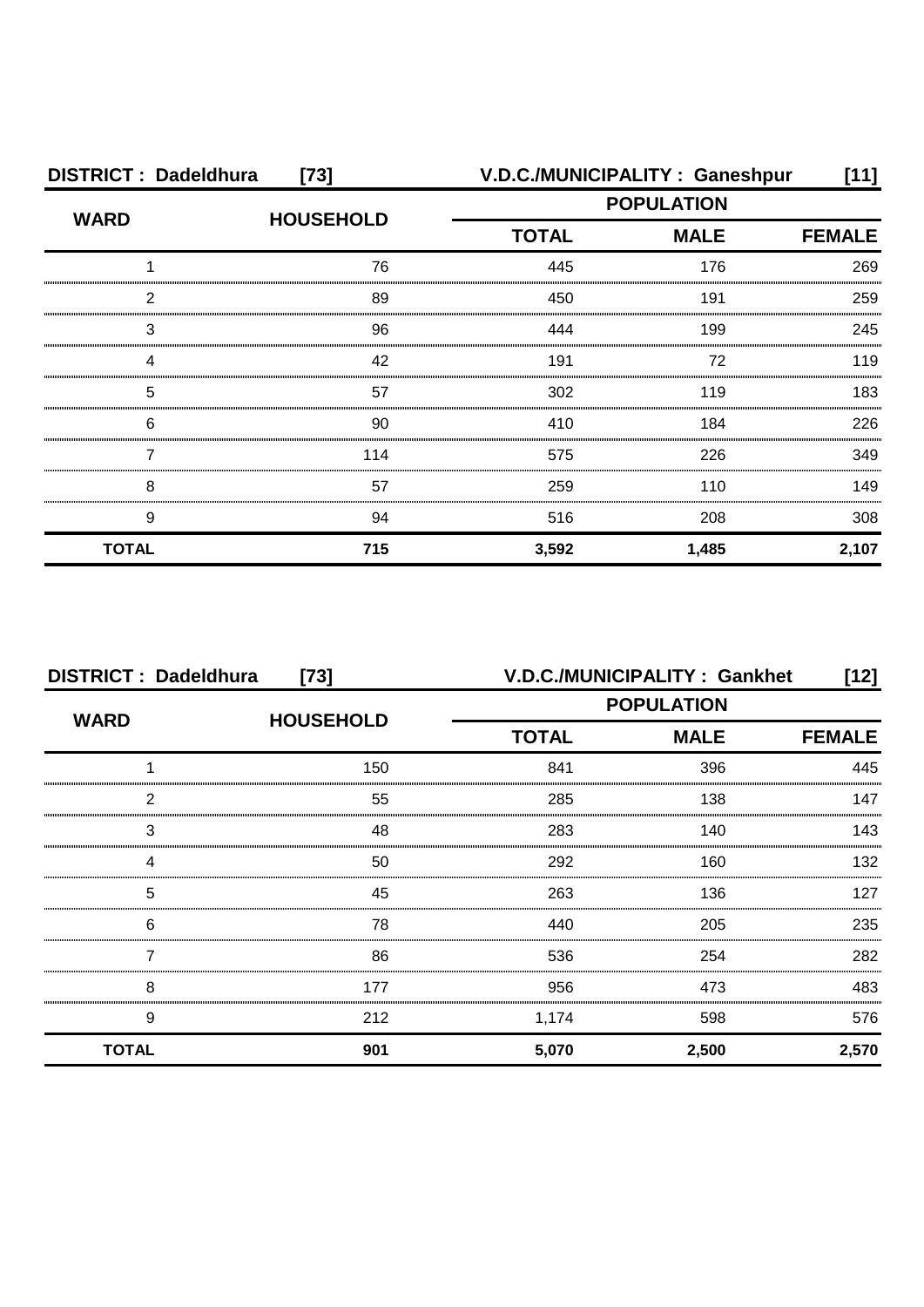| <b>DISTRICT: Dadeldhura</b><br>$[73]$ |                  | V.D.C./MUNICIPALITY: Ganeshpur |                   | [11]          |
|---------------------------------------|------------------|--------------------------------|-------------------|---------------|
| <b>WARD</b>                           | <b>HOUSEHOLD</b> |                                | <b>POPULATION</b> |               |
|                                       |                  | <b>TOTAL</b>                   | <b>MALE</b>       | <b>FEMALE</b> |
|                                       | 76               | 445                            | 176               | 269           |
| 2                                     | 89               | 450                            | 191               | 259           |
| 3                                     | 96               | 444                            | 199               | 245           |
| Δ                                     | 42               | 191                            | 72                | 119           |
| 5                                     | 57               | 302                            | 119               | 183           |
| 6                                     | 90               | 410                            | 184               | 226           |
|                                       | 114              | 575                            | 226               | 349           |
| 8                                     | 57               | 259                            | 110               | 149           |
| 9                                     | 94               | 516                            | 208               | 308           |
| <b>TOTAL</b>                          | 715              | 3,592                          | 1,485             | 2,107         |

| <b>DISTRICT: Dadeldhura</b><br>$[73]$ |                  |                   | <b>V.D.C./MUNICIPALITY: Gankhet</b> | [12]          |
|---------------------------------------|------------------|-------------------|-------------------------------------|---------------|
| <b>WARD</b>                           |                  | <b>POPULATION</b> |                                     |               |
|                                       | <b>HOUSEHOLD</b> | <b>TOTAL</b>      | <b>MALE</b>                         | <b>FEMALE</b> |
|                                       | 150              | 841               | 396                                 | 445           |
| っ                                     | 55               | 285               | 138                                 | 147           |
| 3                                     | 48               | 283               | 140                                 | 143           |
|                                       | 50               | 292               | 160                                 | 132           |
| 5                                     | 45               | 263               | 136                                 | 127           |
| 6                                     | 78               | 440               | 205                                 | 235           |
|                                       | 86               | 536               | 254                                 | 282           |
| 8                                     | 177              | 956               | 473                                 | 483           |
| 9                                     | 212              | 1,174             | 598                                 | 576           |
| <b>TOTAL</b>                          | 901              | 5,070             | 2,500                               | 2,570         |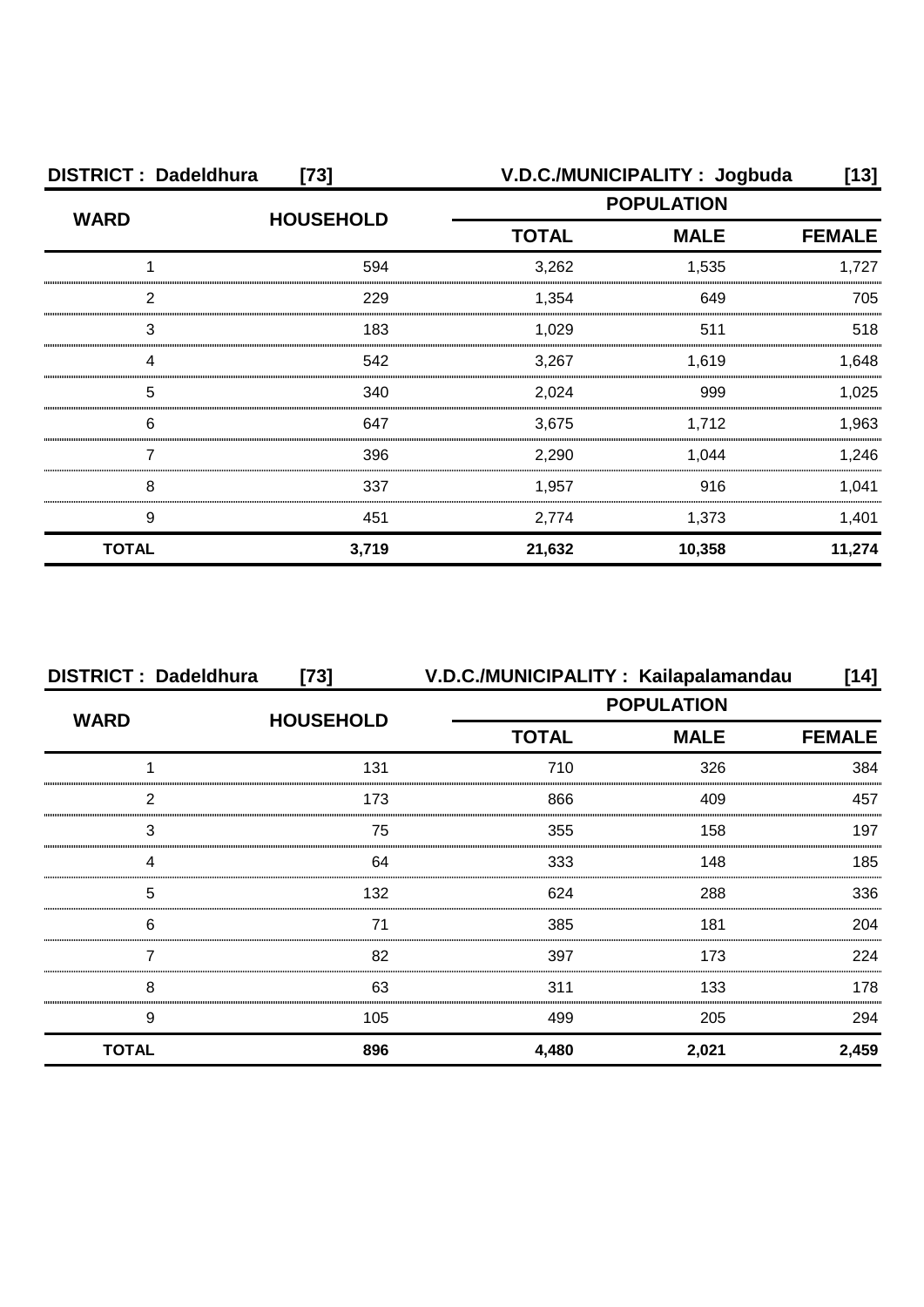| <b>DISTRICT: Dadeldhura</b><br>$[73]$ |                  |                   | V.D.C./MUNICIPALITY: Jogbuda | [13]          |
|---------------------------------------|------------------|-------------------|------------------------------|---------------|
|                                       |                  | <b>POPULATION</b> |                              |               |
| <b>WARD</b>                           | <b>HOUSEHOLD</b> | <b>TOTAL</b>      | <b>MALE</b>                  | <b>FEMALE</b> |
|                                       | 594              | 3,262             | 1,535                        | 1,727         |
| ◠                                     | 229              | 1,354             | 649                          | 705           |
| 3                                     | 183              | 1,029             | 511                          | 518           |
|                                       | 542              | 3,267             | 1,619                        | 1,648         |
| 5                                     | 340              | 2,024             | 999                          | 1,025         |
| 6                                     | 647              | 3,675             | 1,712                        | 1,963         |
|                                       | 396              | 2,290             | 1,044                        | 1,246         |
| 8                                     | 337              | 1,957             | 916                          | 1,041         |
| 9                                     | 451              | 2,774             | 1,373                        | 1,401         |
| <b>TOTAL</b>                          | 3,719            | 21,632            | 10,358                       | 11,274        |

| <b>DISTRICT: Dadeldhura</b> | $[73]$           |                   | V.D.C./MUNICIPALITY: Kailapalamandau | [14]          |
|-----------------------------|------------------|-------------------|--------------------------------------|---------------|
| <b>WARD</b>                 |                  | <b>POPULATION</b> |                                      |               |
|                             | <b>HOUSEHOLD</b> | <b>TOTAL</b>      | <b>MALE</b>                          | <b>FEMALE</b> |
|                             | 131              | 710               | 326                                  | 384           |
| っ                           | 173              | 866               | 409                                  | 457           |
| 3                           | 75               | 355               | 158                                  | 197           |
|                             | 64               | 333               | 148                                  | 185           |
| 5                           | 132              | 624               | 288                                  | 336           |
| 6                           | 71               | 385               | 181                                  | 204           |
|                             | 82               | 397               | 173                                  | 224           |
| 8                           | 63               | 311               | 133                                  | 178           |
| 9                           | 105              | 499               | 205                                  | 294           |
| <b>TOTAL</b>                | 896              | 4,480             | 2,021                                | 2,459         |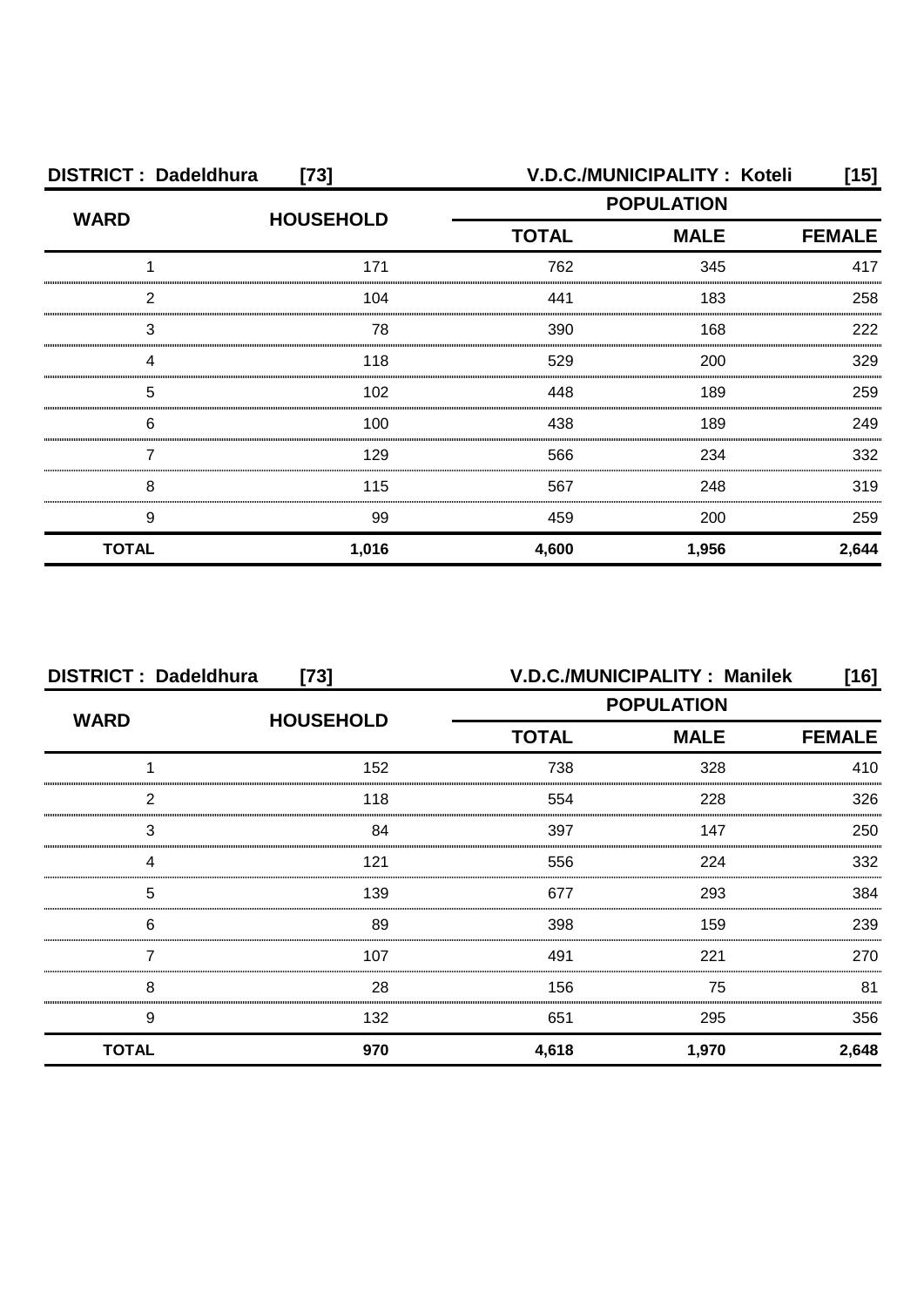| <b>DISTRICT: Dadeldhura</b><br>$[73]$ |                  |              | V.D.C./MUNICIPALITY: Koteli | [15]          |
|---------------------------------------|------------------|--------------|-----------------------------|---------------|
| <b>WARD</b>                           | <b>HOUSEHOLD</b> |              | <b>POPULATION</b>           |               |
|                                       |                  | <b>TOTAL</b> | <b>MALE</b>                 | <b>FEMALE</b> |
|                                       | 171              | 762          | 345                         | 417           |
| 2                                     | 104              | 441          | 183                         | 258           |
| 3                                     | 78               | 390          | 168                         | 222           |
| Δ                                     | 118              | 529          | 200                         | 329           |
| 5                                     | 102              | 448          | 189                         | 259           |
| 6                                     | 100              | 438          | 189                         | 249           |
|                                       | 129              | 566          | 234                         | 332           |
| 8                                     | 115              | 567          | 248                         | 319           |
| 9                                     | 99               | 459          | 200                         | 259           |
| <b>TOTAL</b>                          | 1,016            | 4,600        | 1,956                       | 2,644         |

| <b>DISTRICT: Dadeldhura</b><br>$[73]$ |                  |              | V.D.C./MUNICIPALITY: Manilek | [16]          |
|---------------------------------------|------------------|--------------|------------------------------|---------------|
| <b>WARD</b>                           | <b>HOUSEHOLD</b> |              | <b>POPULATION</b>            |               |
|                                       |                  | <b>TOTAL</b> | <b>MALE</b>                  | <b>FEMALE</b> |
|                                       | 152              | 738          | 328                          | 410           |
| 2                                     | 118              | 554          | 228                          | 326           |
| 3                                     | 84               | 397          | 147                          | 250           |
|                                       | 121              | 556          | 224                          | 332           |
| 5                                     | 139              | 677          | 293                          | 384           |
| 6                                     | 89               | 398          | 159                          | 239           |
|                                       | 107              | 491          | 221                          | 270           |
| 8                                     | 28               | 156          | 75                           | 81            |
| 9                                     | 132              | 651          | 295                          | 356           |
| <b>TOTAL</b>                          | 970              | 4,618        | 1,970                        | 2,648         |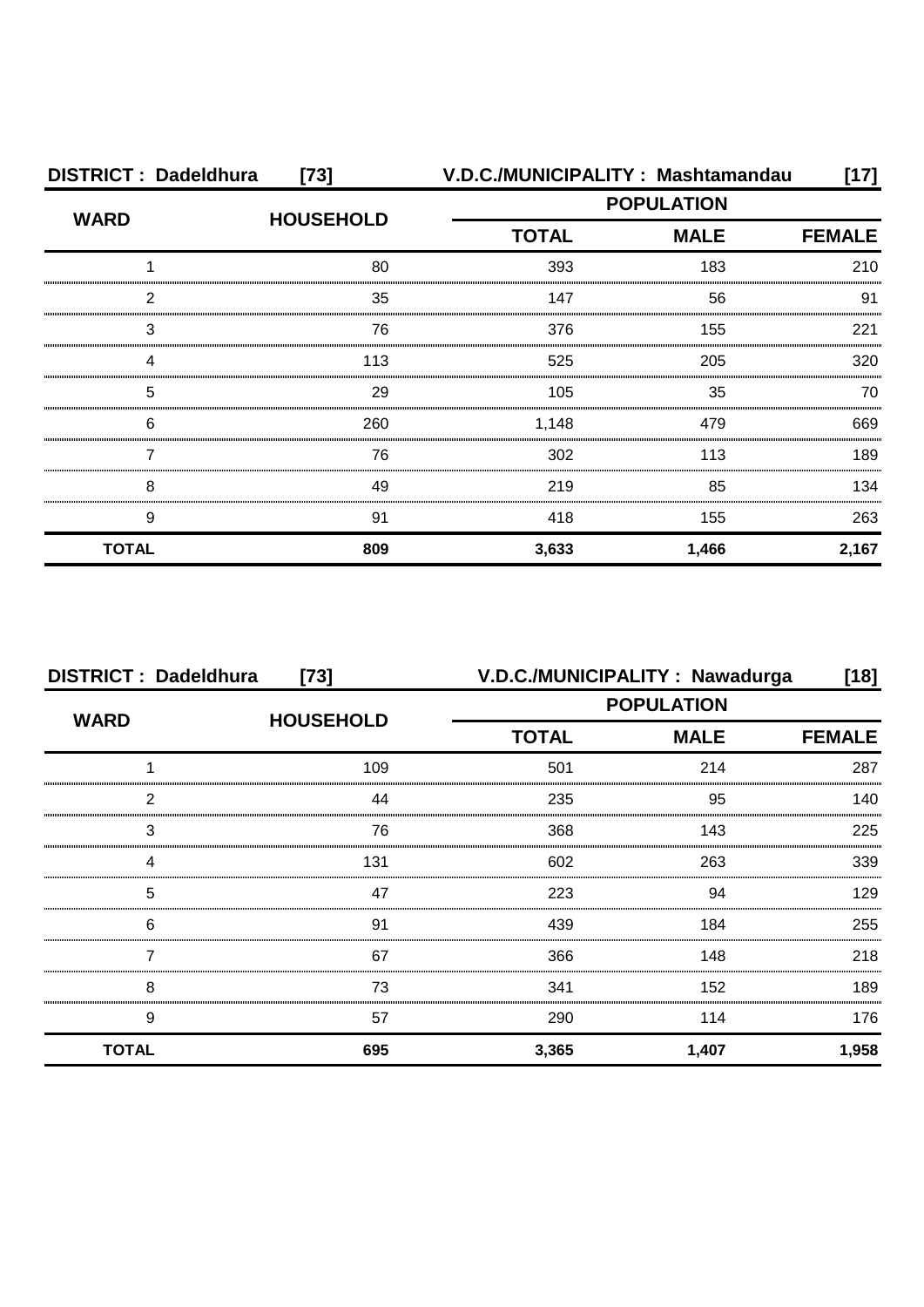| <b>DISTRICT: Dadeldhura</b><br>$[73]$ |                  | V.D.C./MUNICIPALITY: Mashtamandau<br>17] |             |               |
|---------------------------------------|------------------|------------------------------------------|-------------|---------------|
| <b>WARD</b>                           |                  | <b>POPULATION</b>                        |             |               |
|                                       | <b>HOUSEHOLD</b> | <b>TOTAL</b>                             | <b>MALE</b> | <b>FEMALE</b> |
|                                       | 80               | 393                                      | 183         | 210           |
| 2                                     | 35               | 147                                      | 56          | 91            |
| 3                                     | 76               | 376                                      | 155         | 221           |
| Δ                                     | 113              | 525                                      | 205         | 320           |
| 5                                     | 29               | 105                                      | 35          | 70            |
| 6                                     | 260              | 1,148                                    | 479         | 669           |
|                                       | 76               | 302                                      | 113         | 189           |
| 8                                     | 49               | 219                                      | 85          | 134           |
| 9                                     | 91               | 418                                      | 155         | 263           |
| <b>TOTAL</b>                          | 809              | 3,633                                    | 1,466       | 2,167         |

| <b>DISTRICT: Dadeldhura</b><br>$[73]$ |                   |              | V.D.C./MUNICIPALITY : Nawadurga | $[18]$        |  |
|---------------------------------------|-------------------|--------------|---------------------------------|---------------|--|
| <b>WARD</b>                           | <b>POPULATION</b> |              |                                 |               |  |
|                                       | <b>HOUSEHOLD</b>  | <b>TOTAL</b> | <b>MALE</b>                     | <b>FEMALE</b> |  |
|                                       | 109               | 501          | 214                             | 287           |  |
| っ                                     | 44                | 235          | 95                              | 140           |  |
| 3                                     | 76                | 368          | 143                             | 225           |  |
|                                       | 131               | 602          | 263                             | 339           |  |
| 5                                     | 47                | 223          | .94                             | 129           |  |
| 6                                     | 91                | 439          | 184                             | 255           |  |
|                                       | 67                | 366          | 148                             | 218           |  |
| 8                                     | 73                | 341          | 152                             | 189           |  |
| 9                                     | 57                | 290          | 114                             | 176           |  |
| <b>TOTAL</b>                          | 695               | 3,365        | 1,407                           | 1,958         |  |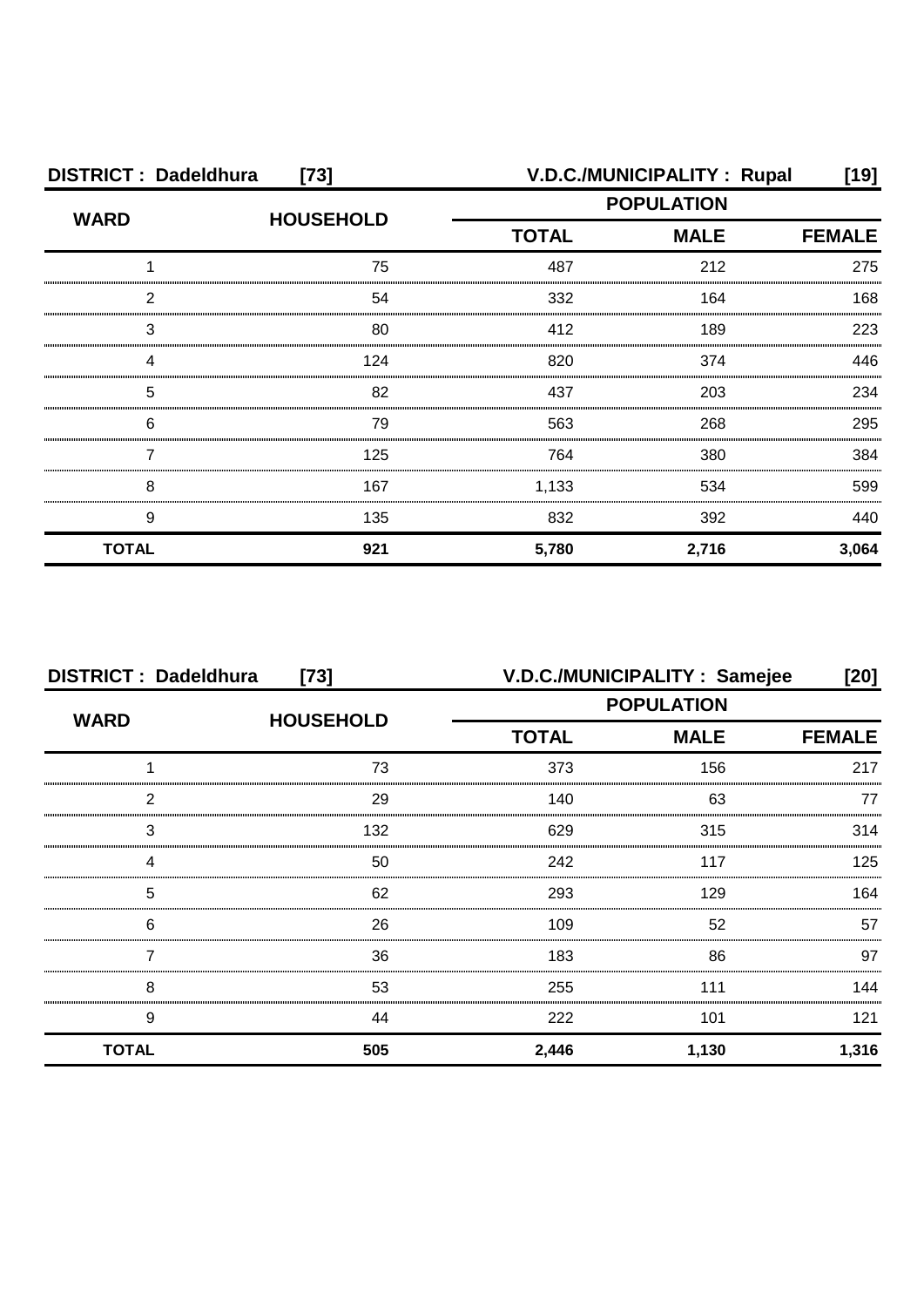| <b>DISTRICT: Dadeldhura</b><br>$[73]$ |                  |              | <b>V.D.C./MUNICIPALITY: Rupal</b> | [19]          |
|---------------------------------------|------------------|--------------|-----------------------------------|---------------|
| <b>WARD</b>                           | <b>HOUSEHOLD</b> |              | <b>POPULATION</b>                 |               |
|                                       |                  | <b>TOTAL</b> | <b>MALE</b>                       | <b>FEMALE</b> |
|                                       | 75               | 487          | 212                               | 275           |
| 2                                     | 54               | 332          | 164                               | 168           |
| 3                                     | 80               | 412          | 189                               | 223           |
| ⊿                                     | 124              | 820          | 374                               | 446           |
| 5                                     | 82               | 437          | 203                               | 234           |
| 6                                     | 79               | 563          | 268                               | 295           |
|                                       | 125              | 764          | 380                               | 384           |
| 8                                     | 167              | 1,133        | 534                               | 599           |
| 9                                     | 135              | 832          | 392                               | 440           |
| <b>TOTAL</b>                          | 921              | 5,780        | 2,716                             | 3,064         |

| <b>DISTRICT: Dadeldhura</b><br>$[73]$ |                  |                   | V.D.C./MUNICIPALITY: Samejee | [20]          |
|---------------------------------------|------------------|-------------------|------------------------------|---------------|
| <b>WARD</b>                           | <b>HOUSEHOLD</b> | <b>POPULATION</b> |                              |               |
|                                       |                  | <b>TOTAL</b>      | <b>MALE</b>                  | <b>FEMALE</b> |
|                                       | 73               | 373               | 156                          | 217           |
| っ                                     | 29               | 140               | 63                           | 77            |
| 3                                     | 132              | 629               | 315                          | 314           |
|                                       | 50               | 242               | 117                          | 125           |
| 5                                     | 62               | 293               | 129                          | 164           |
| 6                                     | 26               | 109               | 52                           | 57            |
|                                       | 36               | 183               | 86                           | 97            |
| 8                                     | 53               | 255               | 111                          | 144           |
| 9                                     | 44               | 222               | 101                          | 121           |
| <b>TOTAL</b>                          | 505              | 2,446             | 1,130                        | 1,316         |